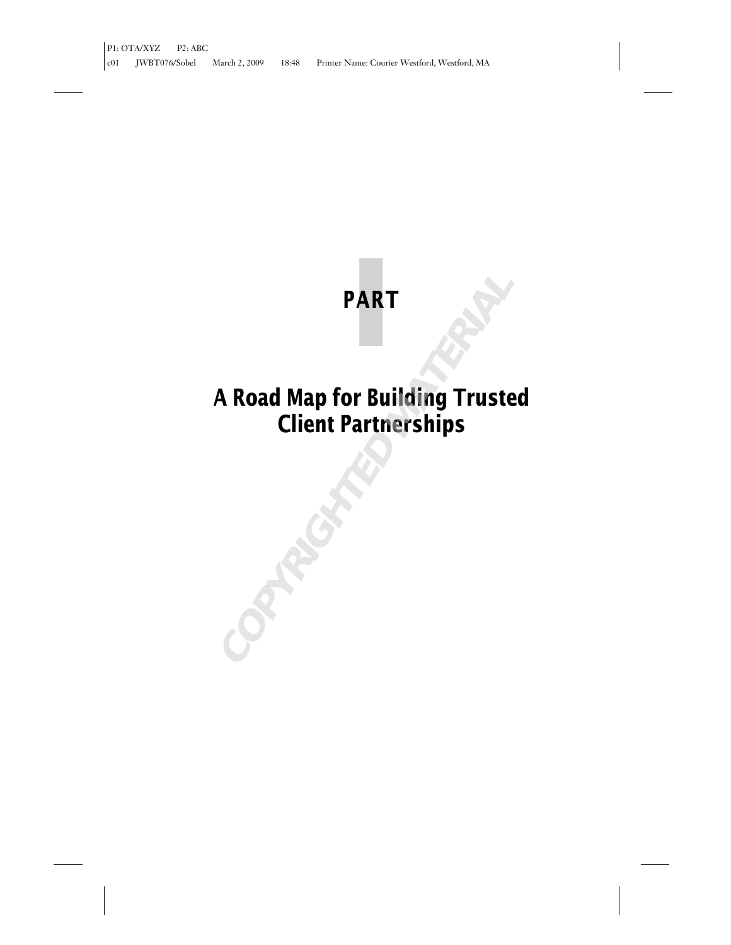# ART<br>I **PART**

# **A Road Map for Building Trusted**

CORAPA RE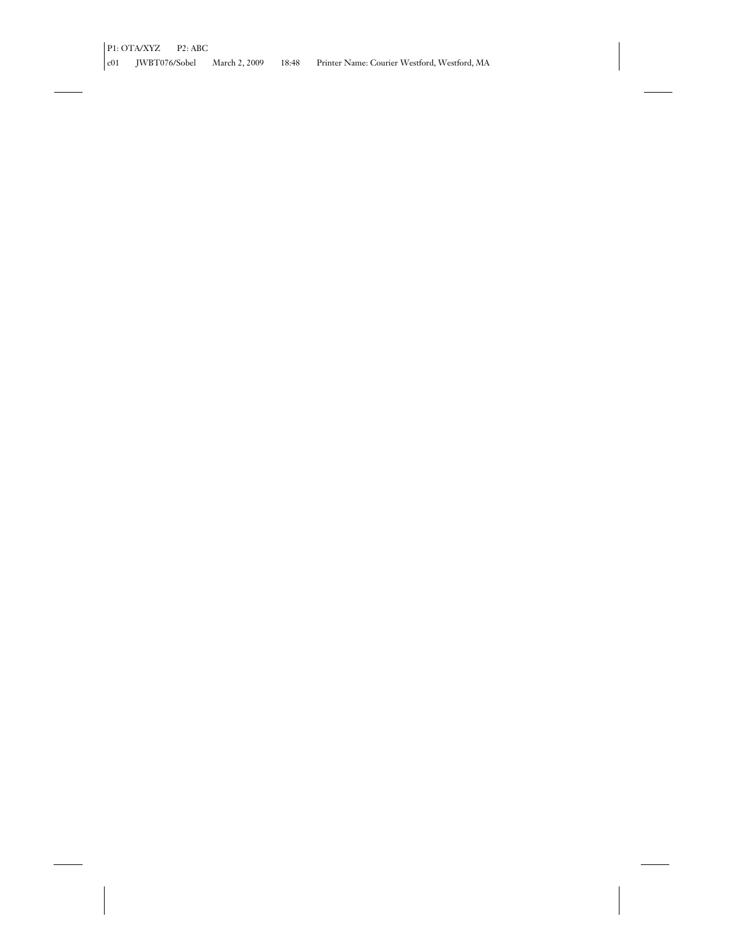P1: OTA/XYZ P2: ABC c01 JWBT076/Sobel March 2, 2009 18:48 Printer Name: Courier Westford, Westford, MA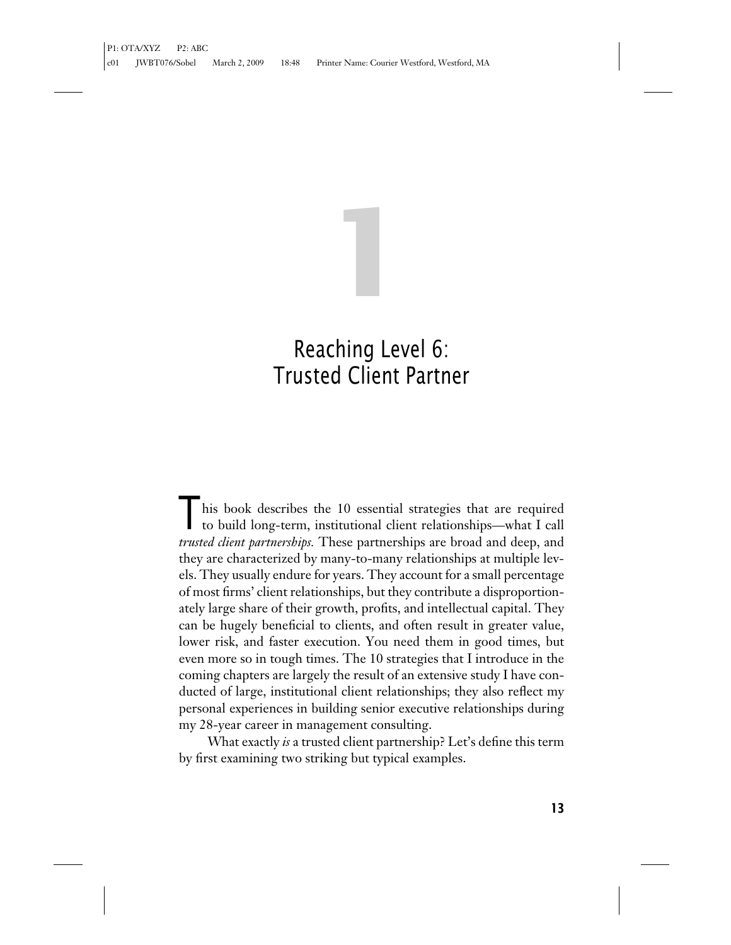**1**

his book describes the 10 essential strategies that are required to build long-term, institutional client relationships—what I call *trusted client partnerships.* These partnerships are broad and deep, and they are characterized by many-to-many relationships at multiple levels. They usually endure for years. They account for a small percentage of most firms' client relationships, but they contribute a disproportionately large share of their growth, profits, and intellectual capital. They can be hugely beneficial to clients, and often result in greater value, lower risk, and faster execution. You need them in good times, but even more so in tough times. The 10 strategies that I introduce in the coming chapters are largely the result of an extensive study I have conducted of large, institutional client relationships; they also reflect my personal experiences in building senior executive relationships during my 28-year career in management consulting.

What exactly *is* a trusted client partnership? Let's define this term by first examining two striking but typical examples.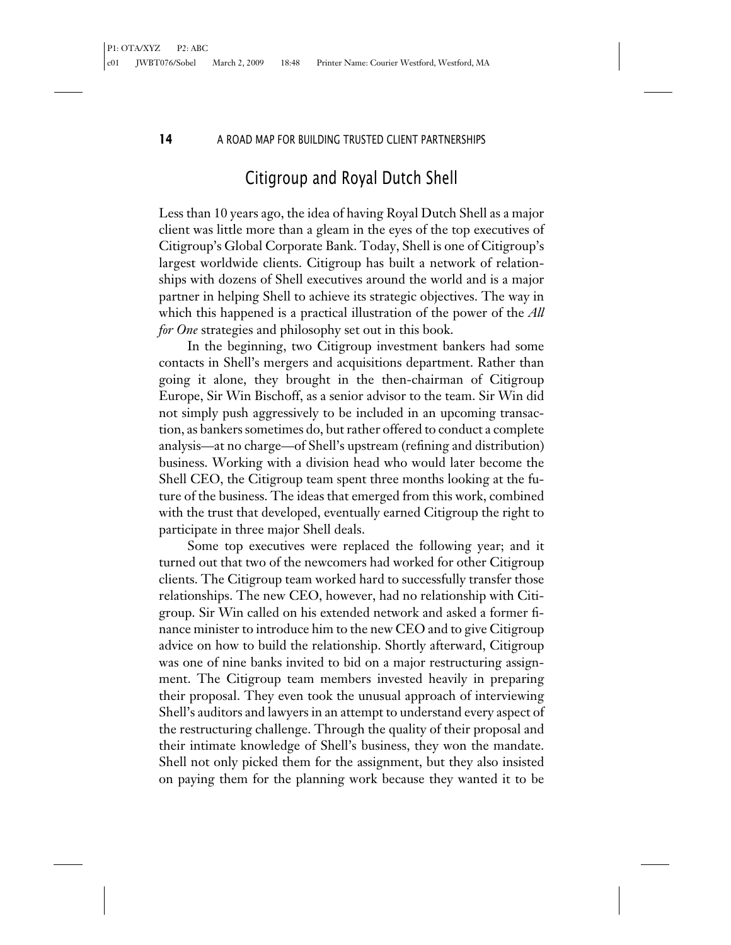### Citigroup and Royal Dutch Shell

Less than 10 years ago, the idea of having Royal Dutch Shell as a major client was little more than a gleam in the eyes of the top executives of Citigroup's Global Corporate Bank. Today, Shell is one of Citigroup's largest worldwide clients. Citigroup has built a network of relationships with dozens of Shell executives around the world and is a major partner in helping Shell to achieve its strategic objectives. The way in which this happened is a practical illustration of the power of the *All for One* strategies and philosophy set out in this book.

In the beginning, two Citigroup investment bankers had some contacts in Shell's mergers and acquisitions department. Rather than going it alone, they brought in the then-chairman of Citigroup Europe, Sir Win Bischoff, as a senior advisor to the team. Sir Win did not simply push aggressively to be included in an upcoming transaction, as bankers sometimes do, but rather offered to conduct a complete analysis—at no charge—of Shell's upstream (refining and distribution) business. Working with a division head who would later become the Shell CEO, the Citigroup team spent three months looking at the future of the business. The ideas that emerged from this work, combined with the trust that developed, eventually earned Citigroup the right to participate in three major Shell deals.

Some top executives were replaced the following year; and it turned out that two of the newcomers had worked for other Citigroup clients. The Citigroup team worked hard to successfully transfer those relationships. The new CEO, however, had no relationship with Citigroup. Sir Win called on his extended network and asked a former finance minister to introduce him to the new CEO and to give Citigroup advice on how to build the relationship. Shortly afterward, Citigroup was one of nine banks invited to bid on a major restructuring assignment. The Citigroup team members invested heavily in preparing their proposal. They even took the unusual approach of interviewing Shell's auditors and lawyers in an attempt to understand every aspect of the restructuring challenge. Through the quality of their proposal and their intimate knowledge of Shell's business, they won the mandate. Shell not only picked them for the assignment, but they also insisted on paying them for the planning work because they wanted it to be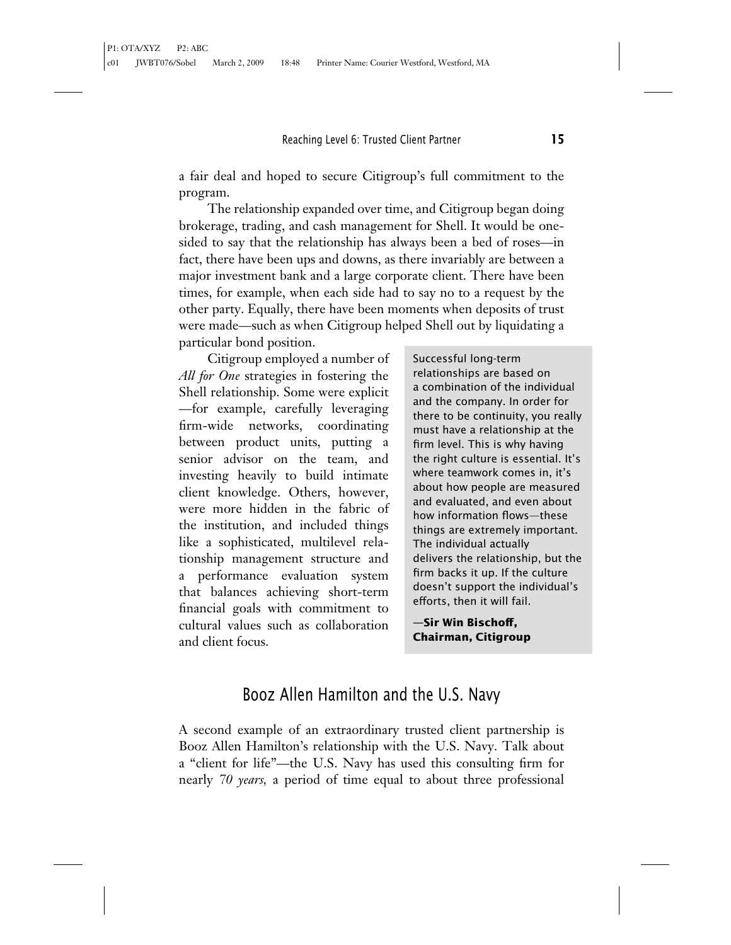a fair deal and hoped to secure Citigroup's full commitment to the program.

The relationship expanded over time, and Citigroup began doing brokerage, trading, and cash management for Shell. It would be onesided to say that the relationship has always been a bed of roses—in fact, there have been ups and downs, as there invariably are between a major investment bank and a large corporate client. There have been times, for example, when each side had to say no to a request by the other party. Equally, there have been moments when deposits of trust were made—such as when Citigroup helped Shell out by liquidating a particular bond position.

Citigroup employed a number of *All for One* strategies in fostering the Shell relationship. Some were explicit —for example, carefully leveraging firm-wide networks, coordinating between product units, putting a senior advisor on the team, and investing heavily to build intimate client knowledge. Others, however, were more hidden in the fabric of the institution, and included things like a sophisticated, multilevel relationship management structure and a performance evaluation system that balances achieving short-term financial goals with commitment to cultural values such as collaboration and client focus.

Successful long-term relationships are based on a combination of the individual and the company. In order for there to be continuity, you really must have a relationship at the firm level. This is why having the right culture is essential. It's where teamwork comes in, it's about how people are measured and evaluated, and even about how information flows—these things are extremely important. The individual actually delivers the relationship, but the firm backs it up. If the culture doesn't support the individual's efforts, then it will fail.

**—Sir Win Bischoff, Chairman, Citigroup**

### Booz Allen Hamilton and the U.S. Navy

A second example of an extraordinary trusted client partnership is Booz Allen Hamilton's relationship with the U.S. Navy. Talk about a "client for life"—the U.S. Navy has used this consulting firm for nearly *70 years,* a period of time equal to about three professional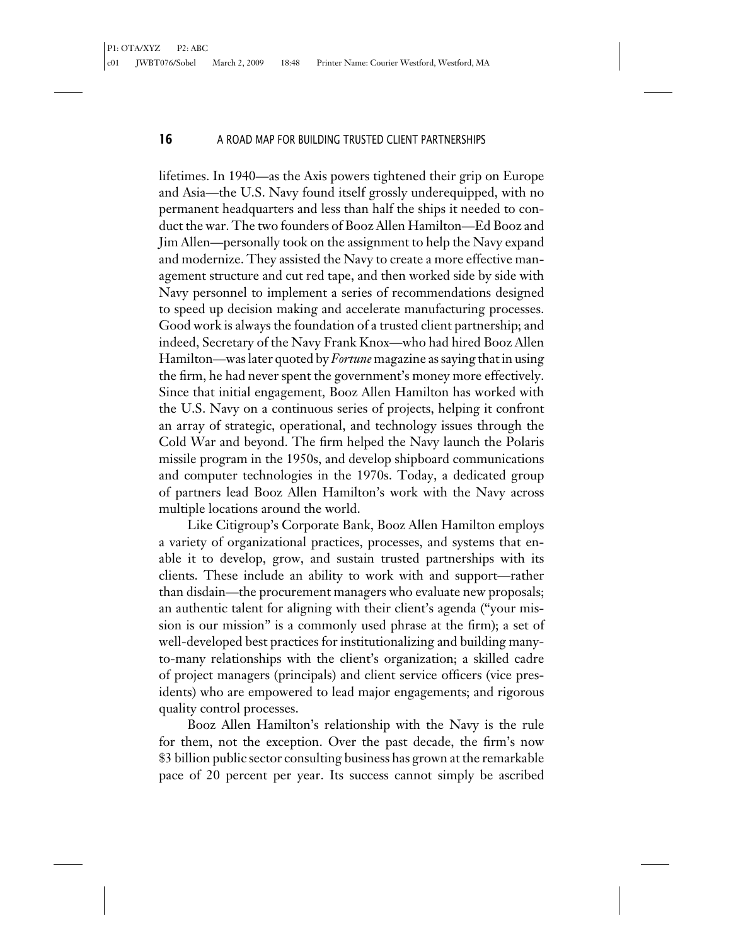lifetimes. In 1940—as the Axis powers tightened their grip on Europe and Asia—the U.S. Navy found itself grossly underequipped, with no permanent headquarters and less than half the ships it needed to conduct the war. The two founders of Booz Allen Hamilton—Ed Booz and Jim Allen—personally took on the assignment to help the Navy expand and modernize. They assisted the Navy to create a more effective management structure and cut red tape, and then worked side by side with Navy personnel to implement a series of recommendations designed to speed up decision making and accelerate manufacturing processes. Good work is always the foundation of a trusted client partnership; and indeed, Secretary of the Navy Frank Knox—who had hired Booz Allen Hamilton—was later quoted by *Fortune* magazine as saying that in using the firm, he had never spent the government's money more effectively. Since that initial engagement, Booz Allen Hamilton has worked with the U.S. Navy on a continuous series of projects, helping it confront an array of strategic, operational, and technology issues through the Cold War and beyond. The firm helped the Navy launch the Polaris missile program in the 1950s, and develop shipboard communications and computer technologies in the 1970s. Today, a dedicated group of partners lead Booz Allen Hamilton's work with the Navy across multiple locations around the world.

Like Citigroup's Corporate Bank, Booz Allen Hamilton employs a variety of organizational practices, processes, and systems that enable it to develop, grow, and sustain trusted partnerships with its clients. These include an ability to work with and support—rather than disdain—the procurement managers who evaluate new proposals; an authentic talent for aligning with their client's agenda ("your mission is our mission" is a commonly used phrase at the firm); a set of well-developed best practices for institutionalizing and building manyto-many relationships with the client's organization; a skilled cadre of project managers (principals) and client service officers (vice presidents) who are empowered to lead major engagements; and rigorous quality control processes.

Booz Allen Hamilton's relationship with the Navy is the rule for them, not the exception. Over the past decade, the firm's now \$3 billion public sector consulting business has grown at the remarkable pace of 20 percent per year. Its success cannot simply be ascribed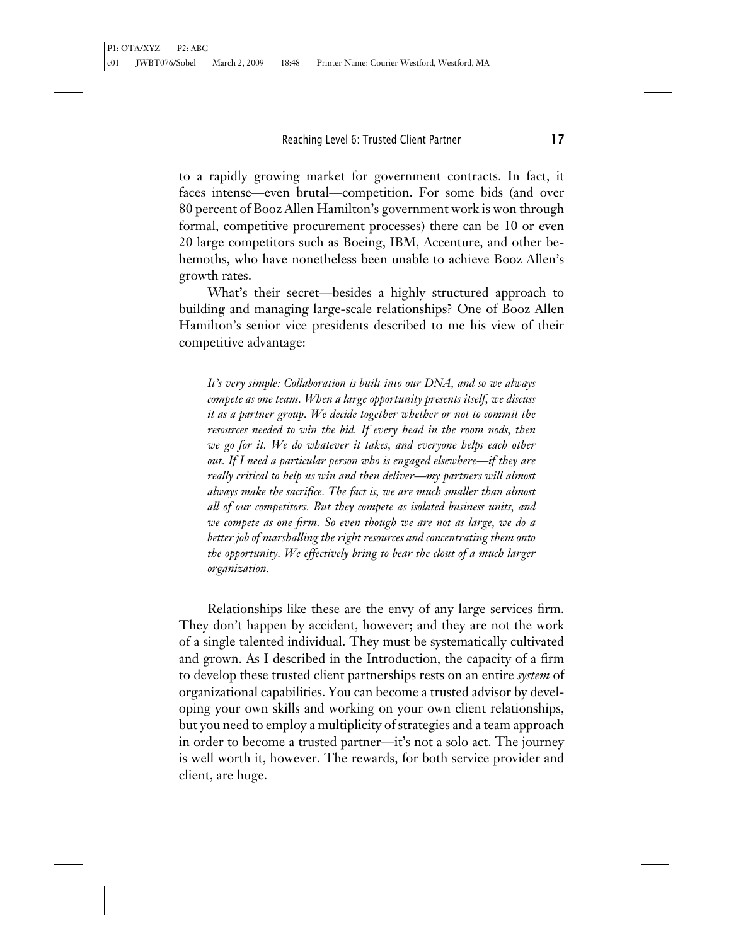to a rapidly growing market for government contracts. In fact, it faces intense—even brutal—competition. For some bids (and over 80 percent of Booz Allen Hamilton's government work is won through formal, competitive procurement processes) there can be 10 or even 20 large competitors such as Boeing, IBM, Accenture, and other behemoths, who have nonetheless been unable to achieve Booz Allen's growth rates.

What's their secret—besides a highly structured approach to building and managing large-scale relationships? One of Booz Allen Hamilton's senior vice presidents described to me his view of their competitive advantage:

*It's very simple: Collaboration is built into our DNA, and so we always compete as one team. When a large opportunity presents itself, we discuss it as a partner group. We decide together whether or not to commit the resources needed to win the bid. If every head in the room nods, then we go for it. We do whatever it takes, and everyone helps each other out. If I need a particular person who is engaged elsewhere—if they are really critical to help us win and then deliver—my partners will almost always make the sacrifice. The fact is, we are much smaller than almost all of our competitors. But they compete as isolated business units, and we compete as one firm. So even though we are not as large, we do a better job of marshalling the right resources and concentrating them onto the opportunity. We effectively bring to bear the clout of a much larger organization.*

Relationships like these are the envy of any large services firm. They don't happen by accident, however; and they are not the work of a single talented individual. They must be systematically cultivated and grown. As I described in the Introduction, the capacity of a firm to develop these trusted client partnerships rests on an entire *system* of organizational capabilities. You can become a trusted advisor by developing your own skills and working on your own client relationships, but you need to employ a multiplicity of strategies and a team approach in order to become a trusted partner—it's not a solo act. The journey is well worth it, however. The rewards, for both service provider and client, are huge.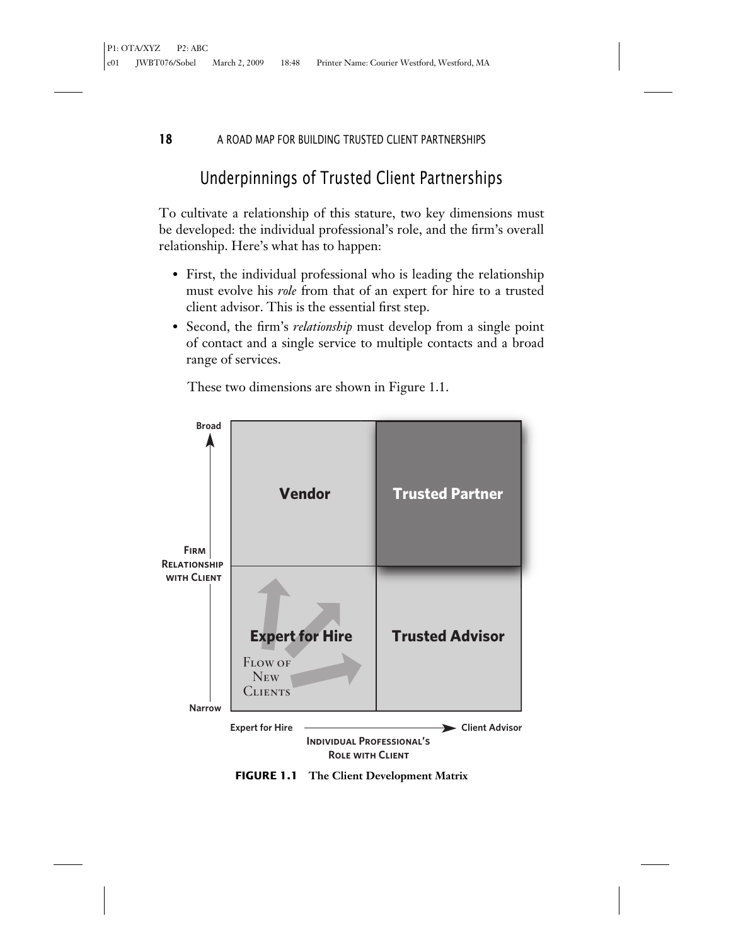# Underpinnings of Trusted Client Partnerships

To cultivate a relationship of this stature, two key dimensions must be developed: the individual professional's role, and the firm's overall relationship. Here's what has to happen:

- First, the individual professional who is leading the relationship must evolve his *role* from that of an expert for hire to a trusted client advisor. This is the essential first step.
- Second, the firm's *relationship* must develop from a single point of contact and a single service to multiple contacts and a broad range of services.

These two dimensions are shown in Figure 1.1.



**FIGURE 1.1 The Client Development Matrix**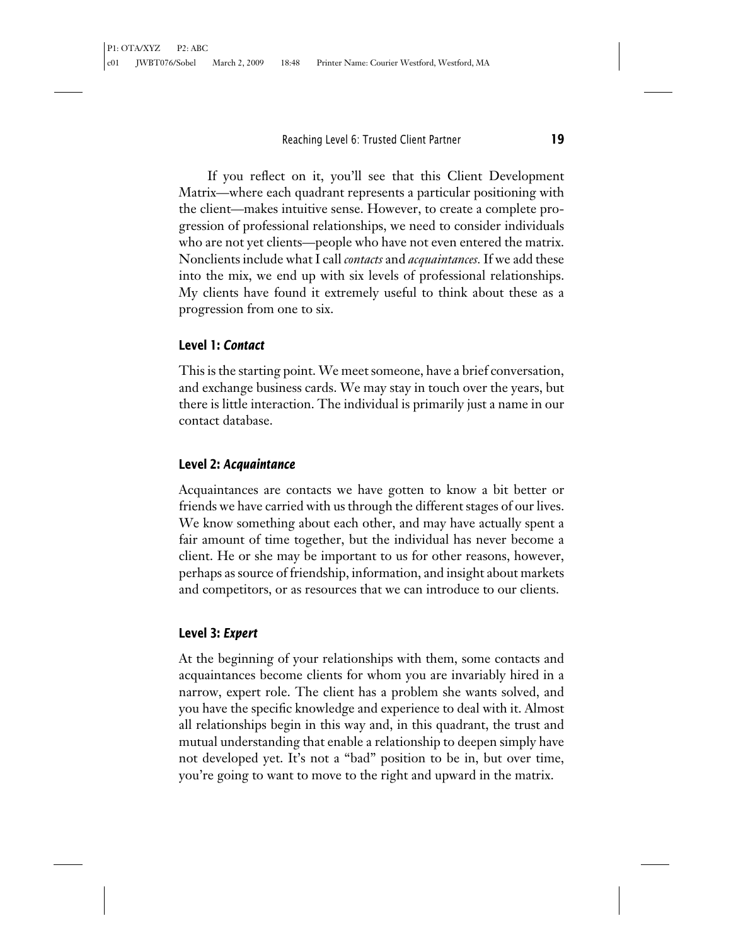If you reflect on it, you'll see that this Client Development Matrix—where each quadrant represents a particular positioning with the client—makes intuitive sense. However, to create a complete progression of professional relationships, we need to consider individuals who are not yet clients—people who have not even entered the matrix. Nonclients include what I call *contacts* and *acquaintances.* If we add these into the mix, we end up with six levels of professional relationships. My clients have found it extremely useful to think about these as a progression from one to six.

#### **Level 1:** *Contact*

This is the starting point. We meet someone, have a brief conversation, and exchange business cards. We may stay in touch over the years, but there is little interaction. The individual is primarily just a name in our contact database.

#### **Level 2:** *Acquaintance*

Acquaintances are contacts we have gotten to know a bit better or friends we have carried with us through the different stages of our lives. We know something about each other, and may have actually spent a fair amount of time together, but the individual has never become a client. He or she may be important to us for other reasons, however, perhaps as source of friendship, information, and insight about markets and competitors, or as resources that we can introduce to our clients.

#### **Level 3:** *Expert*

At the beginning of your relationships with them, some contacts and acquaintances become clients for whom you are invariably hired in a narrow, expert role. The client has a problem she wants solved, and you have the specific knowledge and experience to deal with it. Almost all relationships begin in this way and, in this quadrant, the trust and mutual understanding that enable a relationship to deepen simply have not developed yet. It's not a "bad" position to be in, but over time, you're going to want to move to the right and upward in the matrix.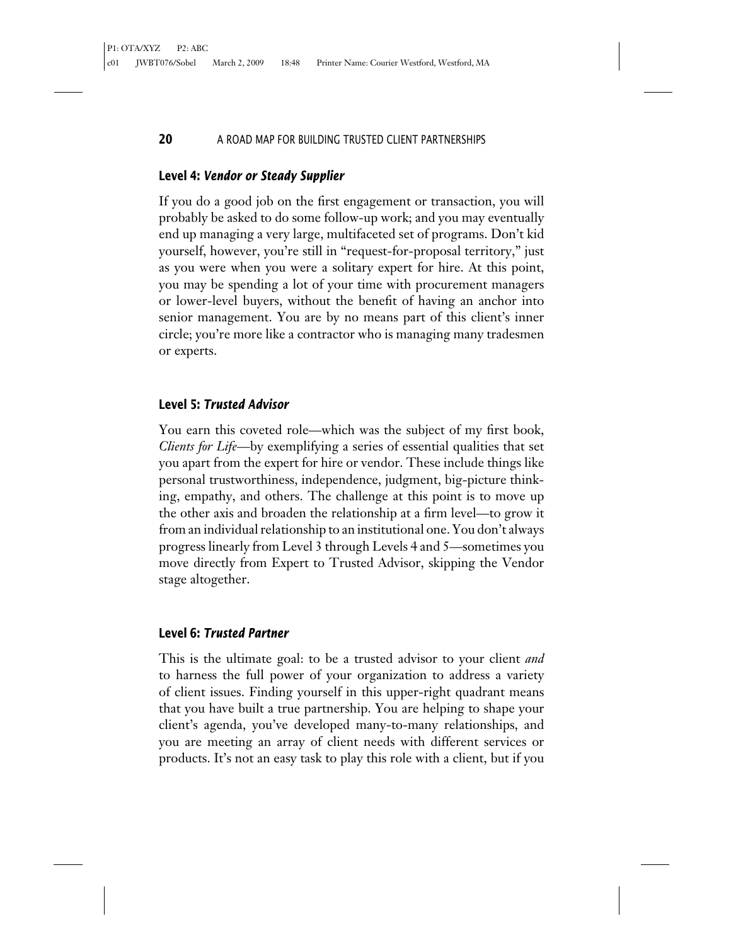#### **Level 4:** *Vendor or Steady Supplier*

If you do a good job on the first engagement or transaction, you will probably be asked to do some follow-up work; and you may eventually end up managing a very large, multifaceted set of programs. Don't kid yourself, however, you're still in "request-for-proposal territory," just as you were when you were a solitary expert for hire. At this point, you may be spending a lot of your time with procurement managers or lower-level buyers, without the benefit of having an anchor into senior management. You are by no means part of this client's inner circle; you're more like a contractor who is managing many tradesmen or experts.

#### **Level 5:** *Trusted Advisor*

You earn this coveted role—which was the subject of my first book, *Clients for Life*—by exemplifying a series of essential qualities that set you apart from the expert for hire or vendor. These include things like personal trustworthiness, independence, judgment, big-picture thinking, empathy, and others. The challenge at this point is to move up the other axis and broaden the relationship at a firm level—to grow it from an individual relationship to an institutional one. You don't always progress linearly from Level 3 through Levels 4 and 5—sometimes you move directly from Expert to Trusted Advisor, skipping the Vendor stage altogether.

#### **Level 6:** *Trusted Partner*

This is the ultimate goal: to be a trusted advisor to your client *and* to harness the full power of your organization to address a variety of client issues. Finding yourself in this upper-right quadrant means that you have built a true partnership. You are helping to shape your client's agenda, you've developed many-to-many relationships, and you are meeting an array of client needs with different services or products. It's not an easy task to play this role with a client, but if you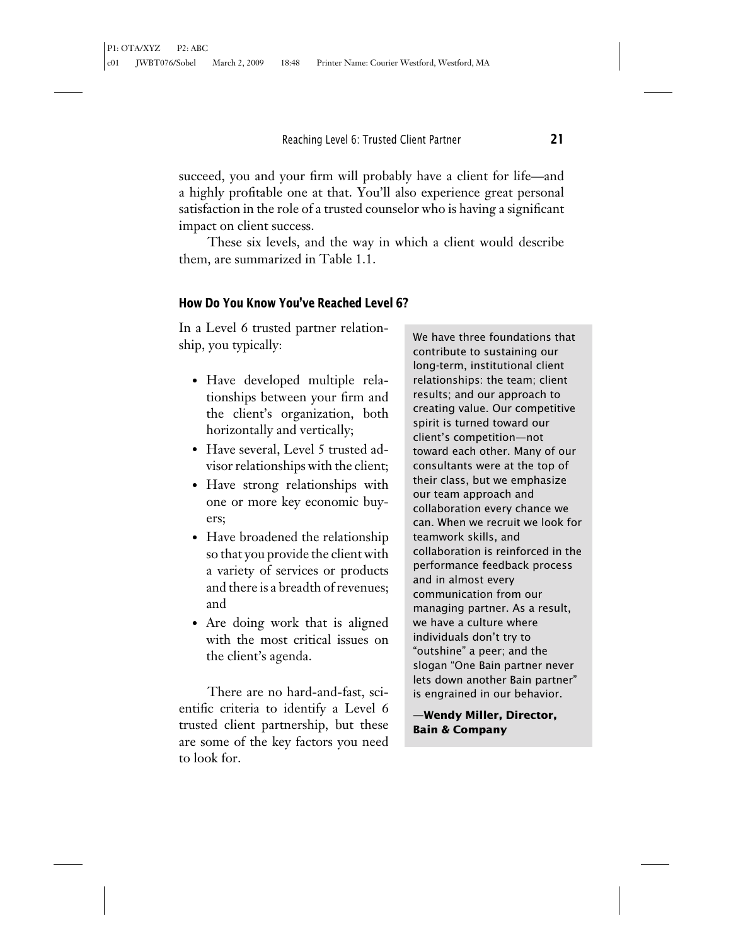succeed, you and your firm will probably have a client for life—and a highly profitable one at that. You'll also experience great personal satisfaction in the role of a trusted counselor who is having a significant impact on client success.

These six levels, and the way in which a client would describe them, are summarized in Table 1.1.

#### **How Do You Know You've Reached Level 6?**

In a Level 6 trusted partner relationship, you typically:

- Have developed multiple relationships between your firm and the client's organization, both horizontally and vertically;
- Have several, Level 5 trusted advisor relationships with the client;
- Have strong relationships with one or more key economic buyers;
- Have broadened the relationship so that you provide the client with a variety of services or products and there is a breadth of revenues; and
- Are doing work that is aligned with the most critical issues on the client's agenda.

There are no hard-and-fast, scientific criteria to identify a Level 6 trusted client partnership, but these are some of the key factors you need to look for.

We have three foundations that contribute to sustaining our long-term, institutional client relationships: the team; client results; and our approach to creating value. Our competitive spirit is turned toward our client's competition—not toward each other. Many of our consultants were at the top of their class, but we emphasize our team approach and collaboration every chance we can. When we recruit we look for teamwork skills, and collaboration is reinforced in the performance feedback process and in almost every communication from our managing partner. As a result, we have a culture where individuals don't try to "outshine" a peer; and the slogan "One Bain partner never lets down another Bain partner" is engrained in our behavior.

**—Wendy Miller, Director, Bain & Company**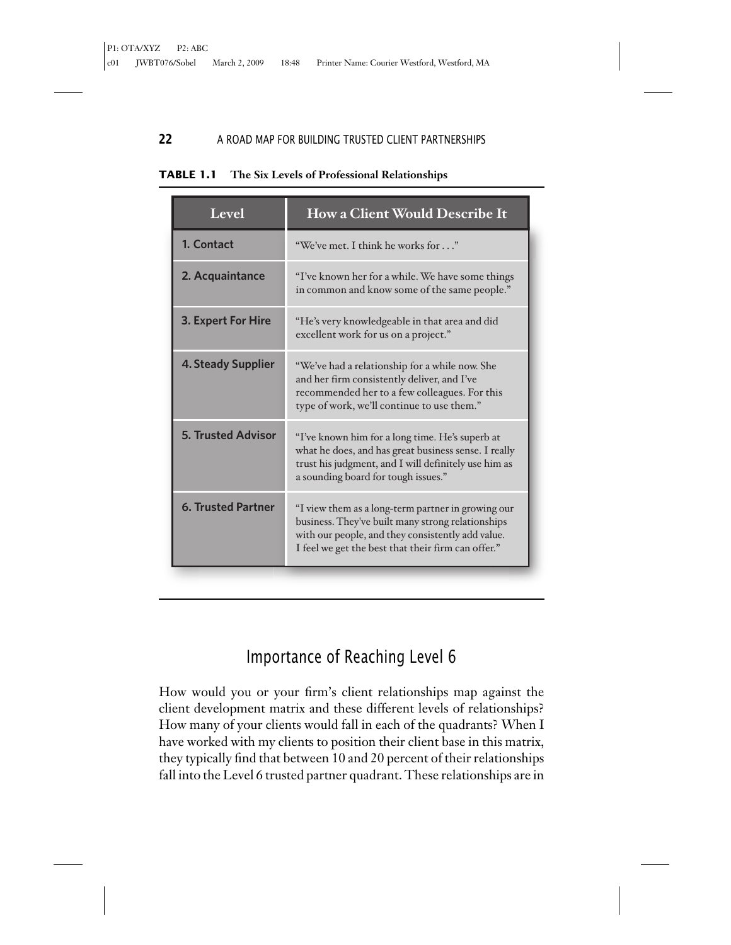| Level                     | How a Client Would Describe It                                                                                                                                                                                     |
|---------------------------|--------------------------------------------------------------------------------------------------------------------------------------------------------------------------------------------------------------------|
| 1. Contact                | "We've met. I think he works for "                                                                                                                                                                                 |
| 2. Acquaintance           | "I've known her for a while. We have some things<br>in common and know some of the same people."                                                                                                                   |
| 3. Expert For Hire        | "He's very knowledgeable in that area and did<br>excellent work for us on a project."                                                                                                                              |
| <b>4. Steady Supplier</b> | "We've had a relationship for a while now. She<br>and her firm consistently deliver, and I've<br>recommended her to a few colleagues. For this<br>type of work, we'll continue to use them."                       |
| <b>5. Trusted Advisor</b> | "I've known him for a long time. He's superb at<br>what he does, and has great business sense. I really<br>trust his judgment, and I will definitely use him as<br>a sounding board for tough issues."             |
| <b>6. Trusted Partner</b> | "I view them as a long-term partner in growing our<br>business. They've built many strong relationships<br>with our people, and they consistently add value.<br>I feel we get the best that their firm can offer." |

**TABLE 1.1 The Six Levels of Professional Relationships**

## Importance of Reaching Level 6

How would you or your firm's client relationships map against the client development matrix and these different levels of relationships? How many of your clients would fall in each of the quadrants? When I have worked with my clients to position their client base in this matrix, they typically find that between 10 and 20 percent of their relationships fall into the Level 6 trusted partner quadrant. These relationships are in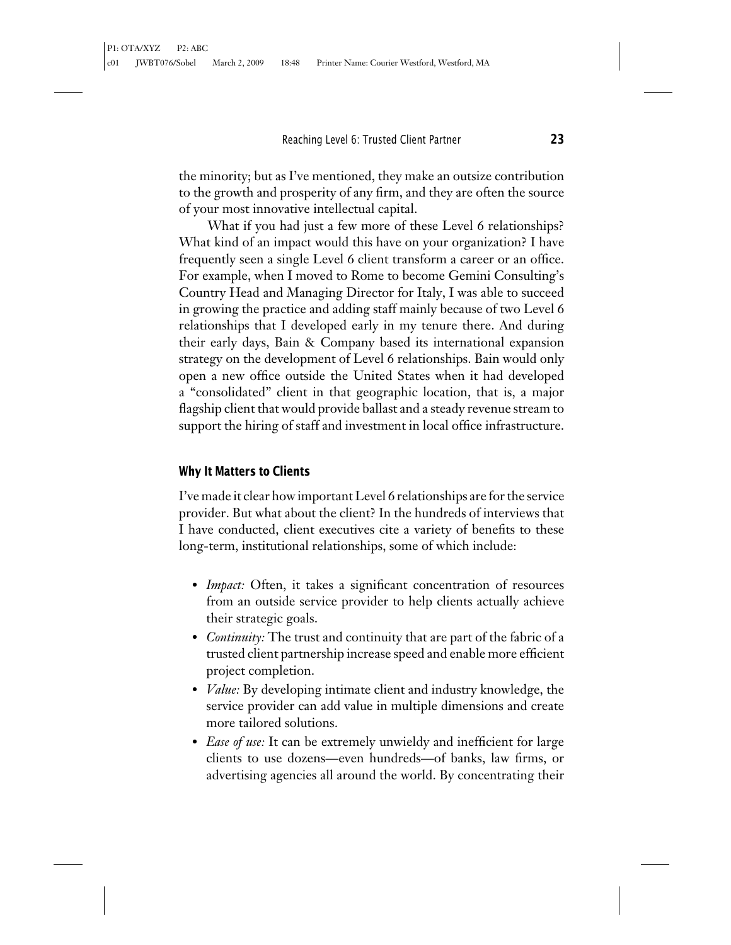the minority; but as I've mentioned, they make an outsize contribution to the growth and prosperity of any firm, and they are often the source of your most innovative intellectual capital.

What if you had just a few more of these Level 6 relationships? What kind of an impact would this have on your organization? I have frequently seen a single Level 6 client transform a career or an office. For example, when I moved to Rome to become Gemini Consulting's Country Head and Managing Director for Italy, I was able to succeed in growing the practice and adding staff mainly because of two Level 6 relationships that I developed early in my tenure there. And during their early days, Bain & Company based its international expansion strategy on the development of Level 6 relationships. Bain would only open a new office outside the United States when it had developed a "consolidated" client in that geographic location, that is, a major flagship client that would provide ballast and a steady revenue stream to support the hiring of staff and investment in local office infrastructure.

#### **Why It Matters to Clients**

I've made it clear how important Level 6 relationships are for the service provider. But what about the client? In the hundreds of interviews that I have conducted, client executives cite a variety of benefits to these long-term, institutional relationships, some of which include:

- *Impact:* Often, it takes a significant concentration of resources from an outside service provider to help clients actually achieve their strategic goals.
- *Continuity:* The trust and continuity that are part of the fabric of a trusted client partnership increase speed and enable more efficient project completion.
- *Value:* By developing intimate client and industry knowledge, the service provider can add value in multiple dimensions and create more tailored solutions.
- *Ease of use:* It can be extremely unwieldy and inefficient for large clients to use dozens—even hundreds—of banks, law firms, or advertising agencies all around the world. By concentrating their